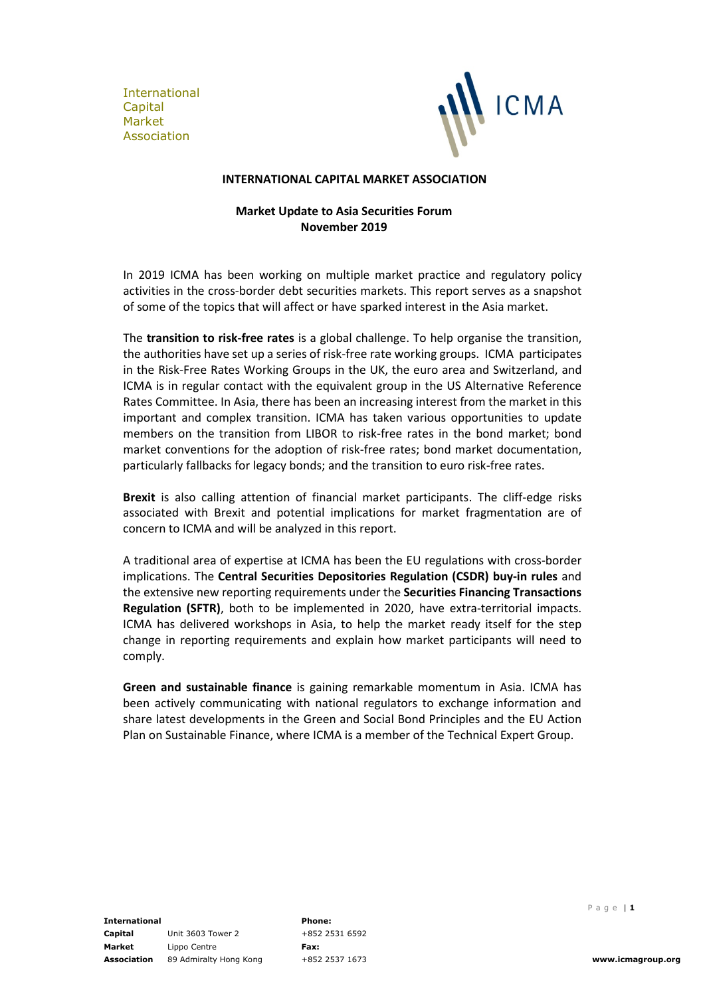International Capital Market Association



### **INTERNATIONAL CAPITAL MARKET ASSOCIATION**

# **Market Update to Asia Securities Forum November 2019**

In 2019 ICMA has been working on multiple market practice and regulatory policy activities in the cross-border debt securities markets. This report serves as a snapshot of some of the topics that will affect or have sparked interest in the Asia market.

The **transition to risk-free rates** is a global challenge. To help organise the transition, the authorities have set up a series of risk-free rate working groups. ICMA participates in the Risk-Free Rates Working Groups in the UK, the euro area and Switzerland, and ICMA is in regular contact with the equivalent group in the US Alternative Reference Rates Committee. In Asia, there has been an increasing interest from the market in this important and complex transition. ICMA has taken various opportunities to update members on the transition from LIBOR to risk-free rates in the bond market; bond market conventions for the adoption of risk-free rates; bond market documentation, particularly fallbacks for legacy bonds; and the transition to euro risk-free rates.

**Brexit** is also calling attention of financial market participants. The cliff-edge risks associated with Brexit and potential implications for market fragmentation are of concern to ICMA and will be analyzed in this report.

A traditional area of expertise at ICMA has been the EU regulations with cross-border implications. The **Central Securities Depositories Regulation (CSDR) buy-in rules** and the extensive new reporting requirements under the **Securities Financing Transactions Regulation (SFTR)**, both to be implemented in 2020, have extra-territorial impacts. ICMA has delivered workshops in Asia, to help the market ready itself for the step change in reporting requirements and explain how market participants will need to comply.

**Green and sustainable finance** is gaining remarkable momentum in Asia. ICMA has been actively communicating with national regulators to exchange information and share latest developments in the Green and Social Bond Principles and the EU Action Plan on Sustainable Finance, where ICMA is a member of the Technical Expert Group.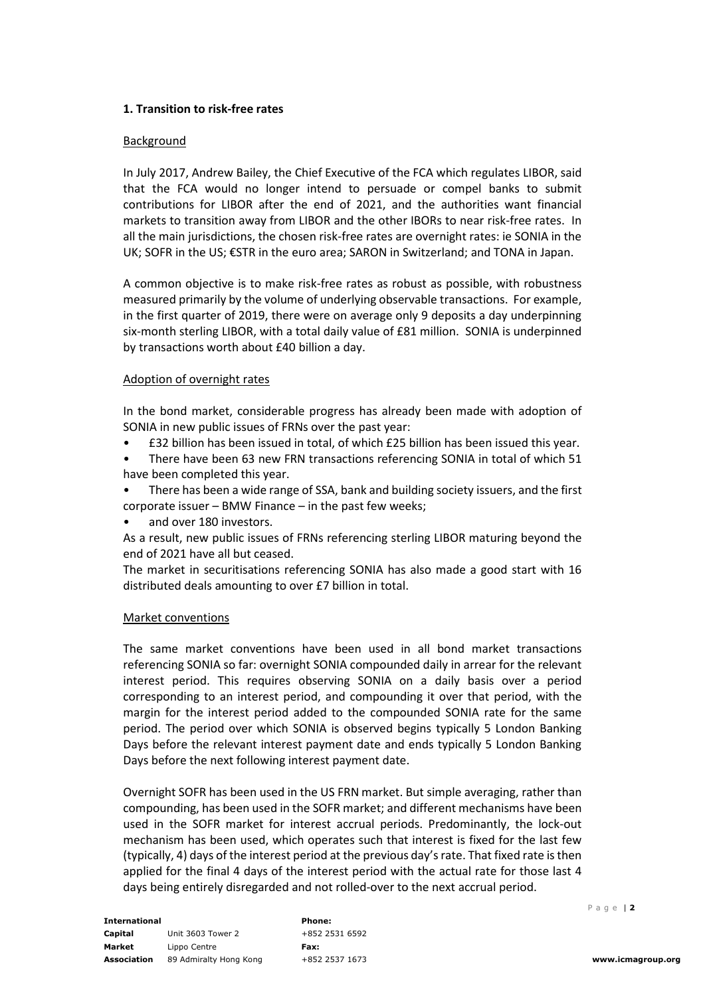# **1. Transition to risk-free rates**

## **Background**

In July 2017, Andrew Bailey, the Chief Executive of the FCA which regulates LIBOR, said that the FCA would no longer intend to persuade or compel banks to submit contributions for LIBOR after the end of 2021, and the authorities want financial markets to transition away from LIBOR and the other IBORs to near risk-free rates. In all the main jurisdictions, the chosen risk-free rates are overnight rates: ie SONIA in the UK; SOFR in the US; €STR in the euro area; SARON in Switzerland; and TONA in Japan.

A common objective is to make risk-free rates as robust as possible, with robustness measured primarily by the volume of underlying observable transactions. For example, in the first quarter of 2019, there were on average only 9 deposits a day underpinning six-month sterling LIBOR, with a total daily value of £81 million. SONIA is underpinned by transactions worth about £40 billion a day.

# Adoption of overnight rates

In the bond market, considerable progress has already been made with adoption of SONIA in new public issues of FRNs over the past year:

- £32 billion has been issued in total, of which £25 billion has been issued this year.
- There have been 63 new FRN transactions referencing SONIA in total of which 51 have been completed this year.
- There has been a wide range of SSA, bank and building society issuers, and the first corporate issuer – BMW Finance – in the past few weeks;
- and over 180 investors.

As a result, new public issues of FRNs referencing sterling LIBOR maturing beyond the end of 2021 have all but ceased.

The market in securitisations referencing SONIA has also made a good start with 16 distributed deals amounting to over £7 billion in total.

## Market conventions

The same market conventions have been used in all bond market transactions referencing SONIA so far: overnight SONIA compounded daily in arrear for the relevant interest period. This requires observing SONIA on a daily basis over a period corresponding to an interest period, and compounding it over that period, with the margin for the interest period added to the compounded SONIA rate for the same period. The period over which SONIA is observed begins typically 5 London Banking Days before the relevant interest payment date and ends typically 5 London Banking Days before the next following interest payment date.

Overnight SOFR has been used in the US FRN market. But simple averaging, rather than compounding, has been used in the SOFR market; and different mechanisms have been used in the SOFR market for interest accrual periods. Predominantly, the lock-out mechanism has been used, which operates such that interest is fixed for the last few (typically, 4) days of the interest period at the previous day'srate. That fixed rate isthen applied for the final 4 days of the interest period with the actual rate for those last 4 days being entirely disregarded and not rolled-over to the next accrual period.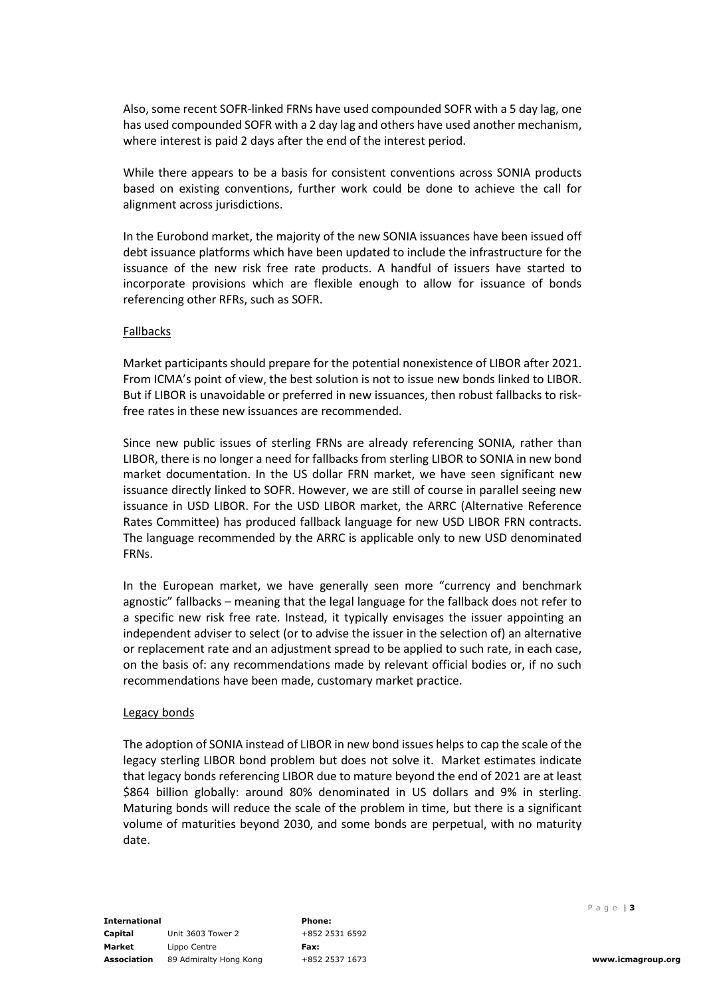Also, some recent SOFR-linked FRNs have used compounded SOFR with a 5 day lag, one has used compounded SOFR with a 2 day lag and others have used another mechanism, where interest is paid 2 days after the end of the interest period.

While there appears to be a basis for consistent conventions across SONIA products based on existing conventions, further work could be done to achieve the call for alignment across jurisdictions.

In the Eurobond market, the majority of the new SONIA issuances have been issued off debt issuance platforms which have been updated to include the infrastructure for the issuance of the new risk free rate products. A handful of issuers have started to incorporate provisions which are flexible enough to allow for issuance of bonds referencing other RFRs, such as SOFR.

### Fallbacks

Market participants should prepare for the potential nonexistence of LIBOR after 2021. From ICMA's point of view, the best solution is not to issue new bonds linked to LIBOR. But if LIBOR is unavoidable or preferred in new issuances, then robust fallbacks to riskfree rates in these new issuances are recommended.

Since new public issues of sterling FRNs are already referencing SONIA, rather than LIBOR, there is no longer a need for fallbacks from sterling LIBOR to SONIA in new bond market documentation. In the US dollar FRN market, we have seen significant new issuance directly linked to SOFR. However, we are still of course in parallel seeing new issuance in USD LIBOR. For the USD LIBOR market, the ARRC (Alternative Reference Rates Committee) has produced fallback language for new USD LIBOR FRN contracts. The language recommended by the ARRC is applicable only to new USD denominated FRNs.

In the European market, we have generally seen more "currency and benchmark agnostic" fallbacks – meaning that the legal language for the fallback does not refer to a specific new risk free rate. Instead, it typically envisages the issuer appointing an independent adviser to select (or to advise the issuer in the selection of) an alternative or replacement rate and an adjustment spread to be applied to such rate, in each case, on the basis of: any recommendations made by relevant official bodies or, if no such recommendations have been made, customary market practice.

## Legacy bonds

The adoption of SONIA instead of LIBOR in new bond issues helps to cap the scale of the legacy sterling LIBOR bond problem but does not solve it. Market estimates indicate that legacy bonds referencing LIBOR due to mature beyond the end of 2021 are at least \$864 billion globally: around 80% denominated in US dollars and 9% in sterling. Maturing bonds will reduce the scale of the problem in time, but there is a significant volume of maturities beyond 2030, and some bonds are perpetual, with no maturity date.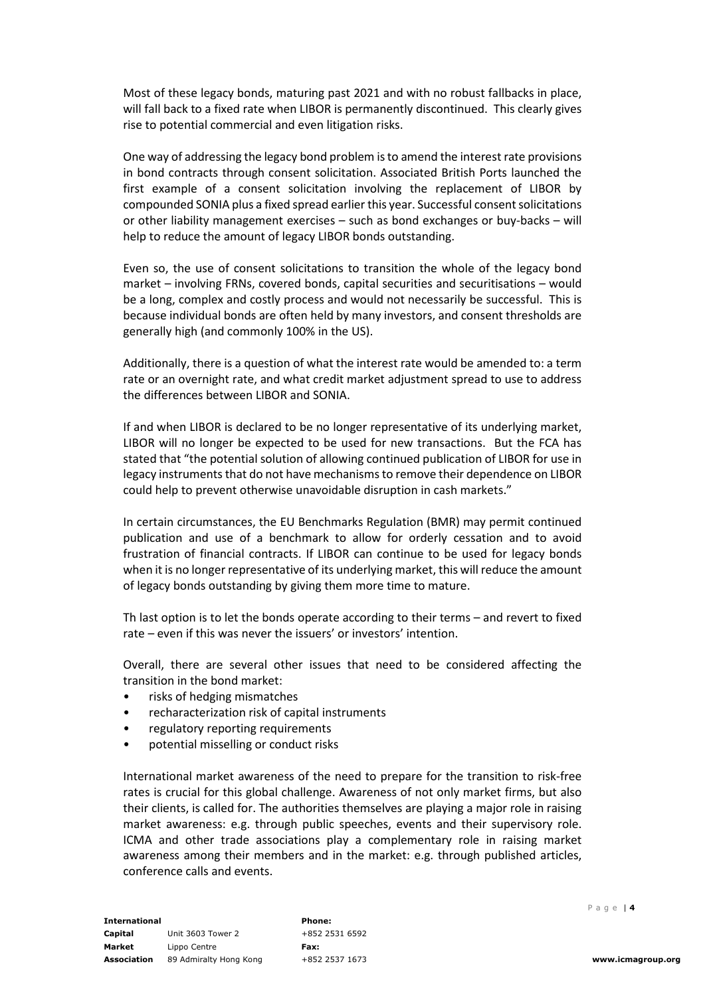Most of these legacy bonds, maturing past 2021 and with no robust fallbacks in place, will fall back to a fixed rate when LIBOR is permanently discontinued. This clearly gives rise to potential commercial and even litigation risks.

One way of addressing the legacy bond problem isto amend the interest rate provisions in bond contracts through consent solicitation. Associated British Ports launched the first example of a consent solicitation involving the replacement of LIBOR by compounded SONIA plus a fixed spread earlier this year. Successful consent solicitations or other liability management exercises – such as bond exchanges or buy-backs – will help to reduce the amount of legacy LIBOR bonds outstanding.

Even so, the use of consent solicitations to transition the whole of the legacy bond market – involving FRNs, covered bonds, capital securities and securitisations – would be a long, complex and costly process and would not necessarily be successful. This is because individual bonds are often held by many investors, and consent thresholds are generally high (and commonly 100% in the US).

Additionally, there is a question of what the interest rate would be amended to: a term rate or an overnight rate, and what credit market adjustment spread to use to address the differences between LIBOR and SONIA.

If and when LIBOR is declared to be no longer representative of its underlying market, LIBOR will no longer be expected to be used for new transactions. But the FCA has stated that "the potential solution of allowing continued publication of LIBOR for use in legacy instruments that do not have mechanisms to remove their dependence on LIBOR could help to prevent otherwise unavoidable disruption in cash markets."

In certain circumstances, the EU Benchmarks Regulation (BMR) may permit continued publication and use of a benchmark to allow for orderly cessation and to avoid frustration of financial contracts. If LIBOR can continue to be used for legacy bonds when it is no longer representative of its underlying market, this will reduce the amount of legacy bonds outstanding by giving them more time to mature.

Th last option is to let the bonds operate according to their terms – and revert to fixed rate – even if this was never the issuers' or investors' intention.

Overall, there are several other issues that need to be considered affecting the transition in the bond market:

- risks of hedging mismatches
- recharacterization risk of capital instruments
- regulatory reporting requirements
- potential misselling or conduct risks

International market awareness of the need to prepare for the transition to risk-free rates is crucial for this global challenge. Awareness of not only market firms, but also their clients, is called for. The authorities themselves are playing a major role in raising market awareness: e.g. through public speeches, events and their supervisory role. ICMA and other trade associations play a complementary role in raising market awareness among their members and in the market: e.g. through published articles, conference calls and events.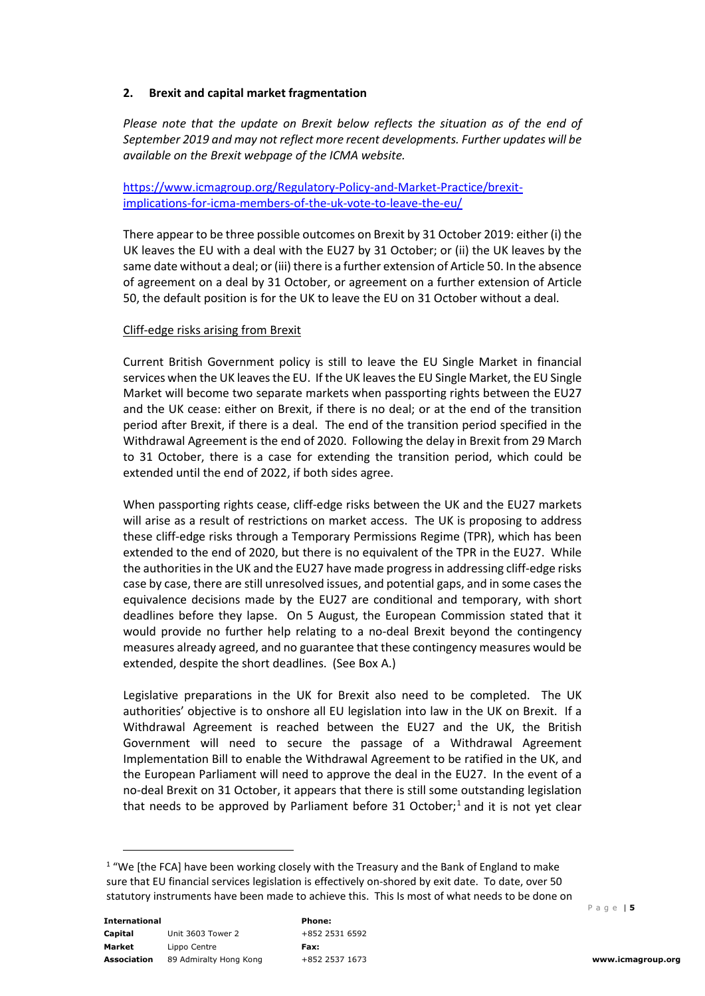# **2. Brexit and capital market fragmentation**

*Please note that the update on Brexit below reflects the situation as of the end of September 2019 and may not reflect more recent developments. Further updates will be available on the Brexit webpage of the ICMA website.*

[https://www.icmagroup.org/Regulatory-Policy-and-Market-Practice/brexit](https://www.icmagroup.org/Regulatory-Policy-and-Market-Practice/brexit-implications-for-icma-members-of-the-uk-vote-to-leave-the-eu/)[implications-for-icma-members-of-the-uk-vote-to-leave-the-eu/](https://www.icmagroup.org/Regulatory-Policy-and-Market-Practice/brexit-implications-for-icma-members-of-the-uk-vote-to-leave-the-eu/)

There appear to be three possible outcomes on Brexit by 31 October 2019: either (i) the UK leaves the EU with a deal with the EU27 by 31 October; or (ii) the UK leaves by the same date without a deal; or (iii) there is a further extension of Article 50. In the absence of agreement on a deal by 31 October, or agreement on a further extension of Article 50, the default position is for the UK to leave the EU on 31 October without a deal.

# Cliff-edge risks arising from Brexit

Current British Government policy is still to leave the EU Single Market in financial services when the UK leaves the EU. If the UK leaves the EU Single Market, the EU Single Market will become two separate markets when passporting rights between the EU27 and the UK cease: either on Brexit, if there is no deal; or at the end of the transition period after Brexit, if there is a deal. The end of the transition period specified in the Withdrawal Agreement is the end of 2020. Following the delay in Brexit from 29 March to 31 October, there is a case for extending the transition period, which could be extended until the end of 2022, if both sides agree.

When passporting rights cease, cliff-edge risks between the UK and the EU27 markets will arise as a result of restrictions on market access. The UK is proposing to address these cliff-edge risks through a Temporary Permissions Regime (TPR), which has been extended to the end of 2020, but there is no equivalent of the TPR in the EU27. While the authorities in the UK and the EU27 have made progress in addressing cliff-edge risks case by case, there are still unresolved issues, and potential gaps, and in some cases the equivalence decisions made by the EU27 are conditional and temporary, with short deadlines before they lapse. On 5 August, the European Commission stated that it would provide no further help relating to a no-deal Brexit beyond the contingency measures already agreed, and no guarantee that these contingency measures would be extended, despite the short deadlines. (See Box A.)

Legislative preparations in the UK for Brexit also need to be completed. The UK authorities' objective is to onshore all EU legislation into law in the UK on Brexit. If a Withdrawal Agreement is reached between the EU27 and the UK, the British Government will need to secure the passage of a Withdrawal Agreement Implementation Bill to enable the Withdrawal Agreement to be ratified in the UK, and the European Parliament will need to approve the deal in the EU27. In the event of a no-deal Brexit on 31 October, it appears that there is still some outstanding legislation that needs to be approved by Parliament before 3[1](#page-4-0) October; $<sup>1</sup>$  and it is not yet clear</sup>

<span id="page-4-0"></span> $1$  "We [the FCA] have been working closely with the Treasury and the Bank of England to make sure that EU financial services legislation is effectively on-shored by exit date. To date, over 50 statutory instruments have been made to achieve this. This Is most of what needs to be done on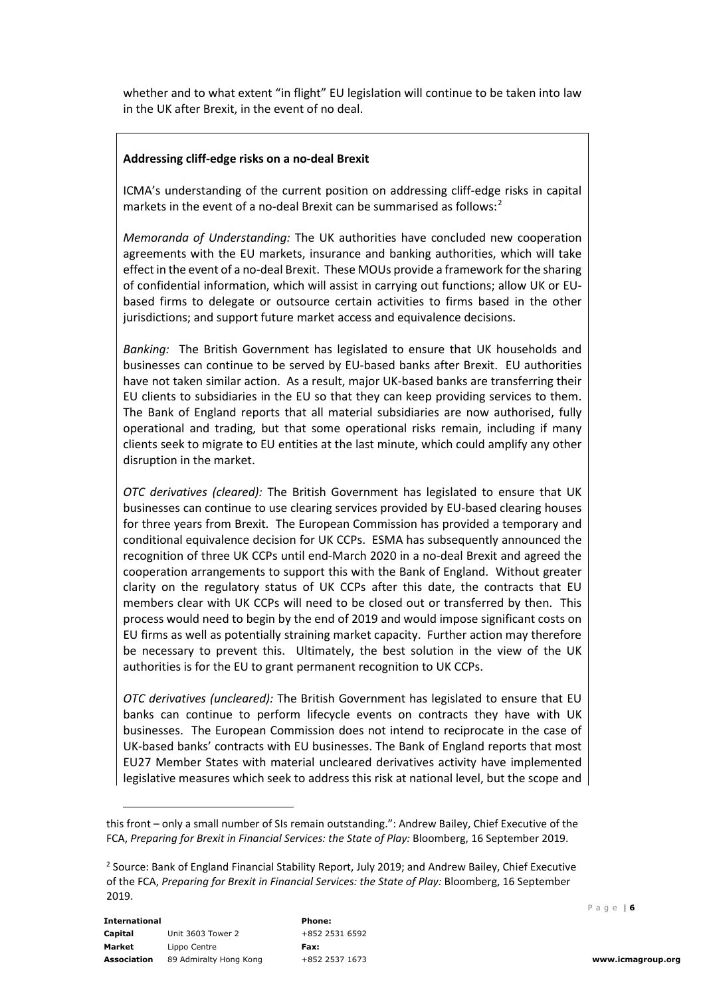whether and to what extent "in flight" EU legislation will continue to be taken into law in the UK after Brexit, in the event of no deal.

## **Addressing cliff-edge risks on a no-deal Brexit**

ICMA's understanding of the current position on addressing cliff-edge risks in capital markets in the event of a no-deal Brexit can be summarised as follows:<sup>[2](#page-5-0)</sup>

*Memoranda of Understanding:* The UK authorities have concluded new cooperation agreements with the EU markets, insurance and banking authorities, which will take effect in the event of a no-deal Brexit. These MOUs provide a framework for the sharing of confidential information, which will assist in carrying out functions; allow UK or EUbased firms to delegate or outsource certain activities to firms based in the other jurisdictions; and support future market access and equivalence decisions.

*Banking:* The British Government has legislated to ensure that UK households and businesses can continue to be served by EU-based banks after Brexit. EU authorities have not taken similar action. As a result, major UK-based banks are transferring their EU clients to subsidiaries in the EU so that they can keep providing services to them. The Bank of England reports that all material subsidiaries are now authorised, fully operational and trading, but that some operational risks remain, including if many clients seek to migrate to EU entities at the last minute, which could amplify any other disruption in the market.

*OTC derivatives (cleared):* The British Government has legislated to ensure that UK businesses can continue to use clearing services provided by EU-based clearing houses for three years from Brexit. The European Commission has provided a temporary and conditional equivalence decision for UK CCPs. ESMA has subsequently announced the recognition of three UK CCPs until end-March 2020 in a no-deal Brexit and agreed the cooperation arrangements to support this with the Bank of England. Without greater clarity on the regulatory status of UK CCPs after this date, the contracts that EU members clear with UK CCPs will need to be closed out or transferred by then. This process would need to begin by the end of 2019 and would impose significant costs on EU firms as well as potentially straining market capacity. Further action may therefore be necessary to prevent this. Ultimately, the best solution in the view of the UK authorities is for the EU to grant permanent recognition to UK CCPs.

*OTC derivatives (uncleared):* The British Government has legislated to ensure that EU banks can continue to perform lifecycle events on contracts they have with UK businesses. The European Commission does not intend to reciprocate in the case of UK-based banks' contracts with EU businesses. The Bank of England reports that most EU27 Member States with material uncleared derivatives activity have implemented legislative measures which seek to address this risk at national level, but the scope and

this front – only a small number of SIs remain outstanding.": Andrew Bailey, Chief Executive of the FCA, *Preparing for Brexit in Financial Services: the State of Play:* Bloomberg, 16 September 2019.

<span id="page-5-0"></span><sup>2</sup> Source: Bank of England Financial Stability Report, July 2019; and Andrew Bailey, Chief Executive of the FCA, *Preparing for Brexit in Financial Services: the State of Play:* Bloomberg, 16 September 2019.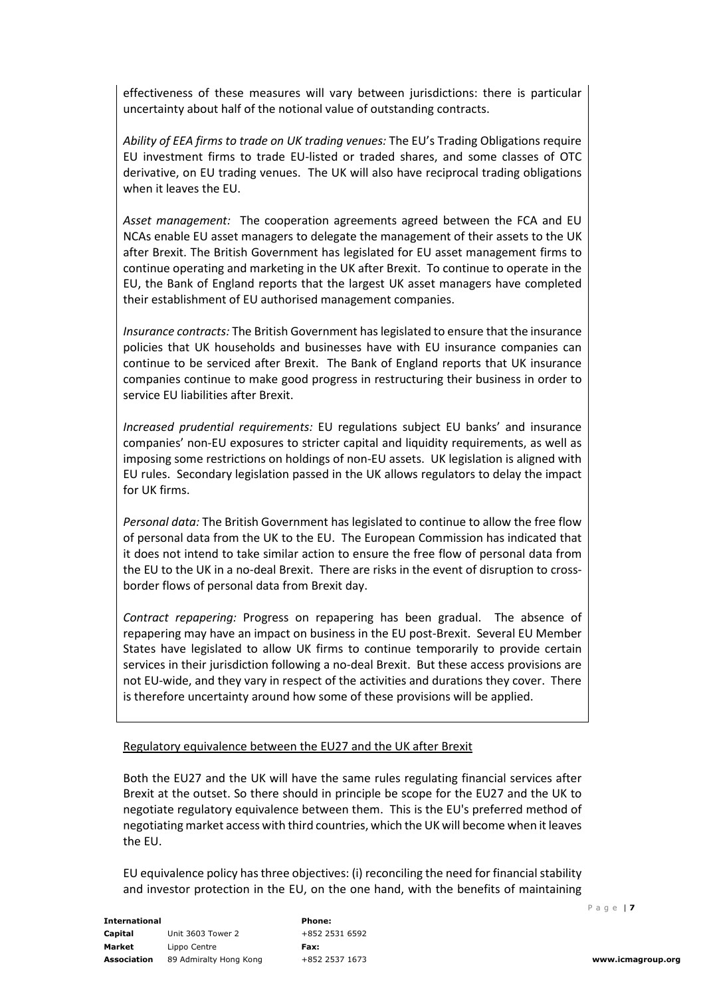effectiveness of these measures will vary between jurisdictions: there is particular uncertainty about half of the notional value of outstanding contracts.

*Ability of EEA firms to trade on UK trading venues:* The EU's Trading Obligations require EU investment firms to trade EU-listed or traded shares, and some classes of OTC derivative, on EU trading venues. The UK will also have reciprocal trading obligations when it leaves the EU.

*Asset management:* The cooperation agreements agreed between the FCA and EU NCAs enable EU asset managers to delegate the management of their assets to the UK after Brexit. The British Government has legislated for EU asset management firms to continue operating and marketing in the UK after Brexit. To continue to operate in the EU, the Bank of England reports that the largest UK asset managers have completed their establishment of EU authorised management companies.

*Insurance contracts:* The British Government has legislated to ensure that the insurance policies that UK households and businesses have with EU insurance companies can continue to be serviced after Brexit. The Bank of England reports that UK insurance companies continue to make good progress in restructuring their business in order to service EU liabilities after Brexit.

*Increased prudential requirements:* EU regulations subject EU banks' and insurance companies' non-EU exposures to stricter capital and liquidity requirements, as well as imposing some restrictions on holdings of non-EU assets. UK legislation is aligned with EU rules. Secondary legislation passed in the UK allows regulators to delay the impact for UK firms.

*Personal data:* The British Government has legislated to continue to allow the free flow of personal data from the UK to the EU. The European Commission has indicated that it does not intend to take similar action to ensure the free flow of personal data from the EU to the UK in a no-deal Brexit. There are risks in the event of disruption to crossborder flows of personal data from Brexit day.

*Contract repapering:* Progress on repapering has been gradual. The absence of repapering may have an impact on business in the EU post-Brexit. Several EU Member States have legislated to allow UK firms to continue temporarily to provide certain services in their jurisdiction following a no-deal Brexit. But these access provisions are not EU-wide, and they vary in respect of the activities and durations they cover. There is therefore uncertainty around how some of these provisions will be applied.

#### Regulatory equivalence between the EU27 and the UK after Brexit

Both the EU27 and the UK will have the same rules regulating financial services after Brexit at the outset. So there should in principle be scope for the EU27 and the UK to negotiate regulatory equivalence between them. This is the EU's preferred method of negotiating market access with third countries, which the UK will become when it leaves the EU.

EU equivalence policy has three objectives: (i) reconciling the need for financial stability and investor protection in the EU, on the one hand, with the benefits of maintaining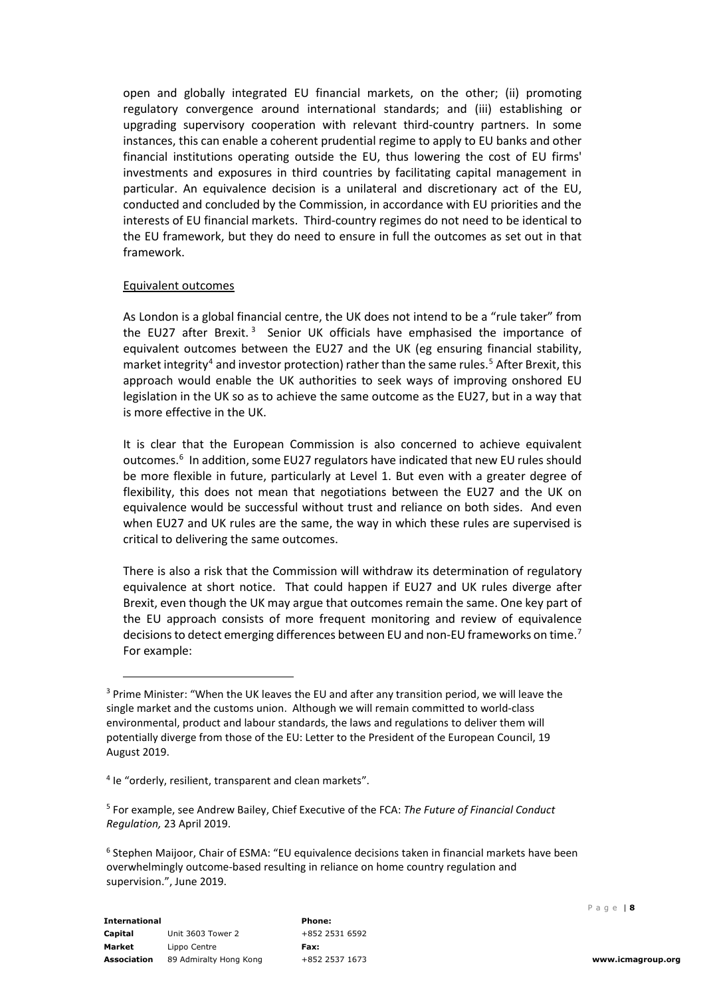open and globally integrated EU financial markets, on the other; (ii) promoting regulatory convergence around international standards; and (iii) establishing or upgrading supervisory cooperation with relevant third-country partners. In some instances, this can enable a coherent prudential regime to apply to EU banks and other financial institutions operating outside the EU, thus lowering the cost of EU firms' investments and exposures in third countries by facilitating capital management in particular. An equivalence decision is a unilateral and discretionary act of the EU, conducted and concluded by the Commission, in accordance with EU priorities and the interests of EU financial markets. Third-country regimes do not need to be identical to the EU framework, but they do need to ensure in full the outcomes as set out in that framework.

### Equivalent outcomes

As London is a global financial centre, the UK does not intend to be a "rule taker" from the EU27 after Brexit.<sup>[3](#page-7-0)</sup> Senior UK officials have emphasised the importance of equivalent outcomes between the EU27 and the UK (eg ensuring financial stability, market integrity<sup>4</sup> and investor protection) rather than the same rules.<sup>[5](#page-7-2)</sup> After Brexit, this approach would enable the UK authorities to seek ways of improving onshored EU legislation in the UK so as to achieve the same outcome as the EU27, but in a way that is more effective in the UK.

It is clear that the European Commission is also concerned to achieve equivalent outcomes.<sup>[6](#page-7-3)</sup> In addition, some EU27 regulators have indicated that new EU rules should be more flexible in future, particularly at Level 1. But even with a greater degree of flexibility, this does not mean that negotiations between the EU27 and the UK on equivalence would be successful without trust and reliance on both sides. And even when EU27 and UK rules are the same, the way in which these rules are supervised is critical to delivering the same outcomes.

There is also a risk that the Commission will withdraw its determination of regulatory equivalence at short notice. That could happen if EU27 and UK rules diverge after Brexit, even though the UK may argue that outcomes remain the same. One key part of the EU approach consists of more frequent monitoring and review of equivalence decisions to detect emerging differences between EU and non-EU frameworks on time.<sup>[7](#page-7-4)</sup> For example:

<span id="page-7-0"></span><sup>&</sup>lt;sup>3</sup> Prime Minister: "When the UK leaves the EU and after any transition period, we will leave the single market and the customs union. Although we will remain committed to world-class environmental, product and labour standards, the laws and regulations to deliver them will potentially diverge from those of the EU: Letter to the President of the European Council, 19 August 2019.

<span id="page-7-1"></span><sup>&</sup>lt;sup>4</sup> Ie "orderly, resilient, transparent and clean markets".

<span id="page-7-2"></span><sup>5</sup> For example, see Andrew Bailey, Chief Executive of the FCA: *The Future of Financial Conduct Regulation,* 23 April 2019.

<span id="page-7-4"></span><span id="page-7-3"></span><sup>6</sup> Stephen Maijoor, Chair of ESMA: "EU equivalence decisions taken in financial markets have been overwhelmingly outcome-based resulting in reliance on home country regulation and supervision.", June 2019.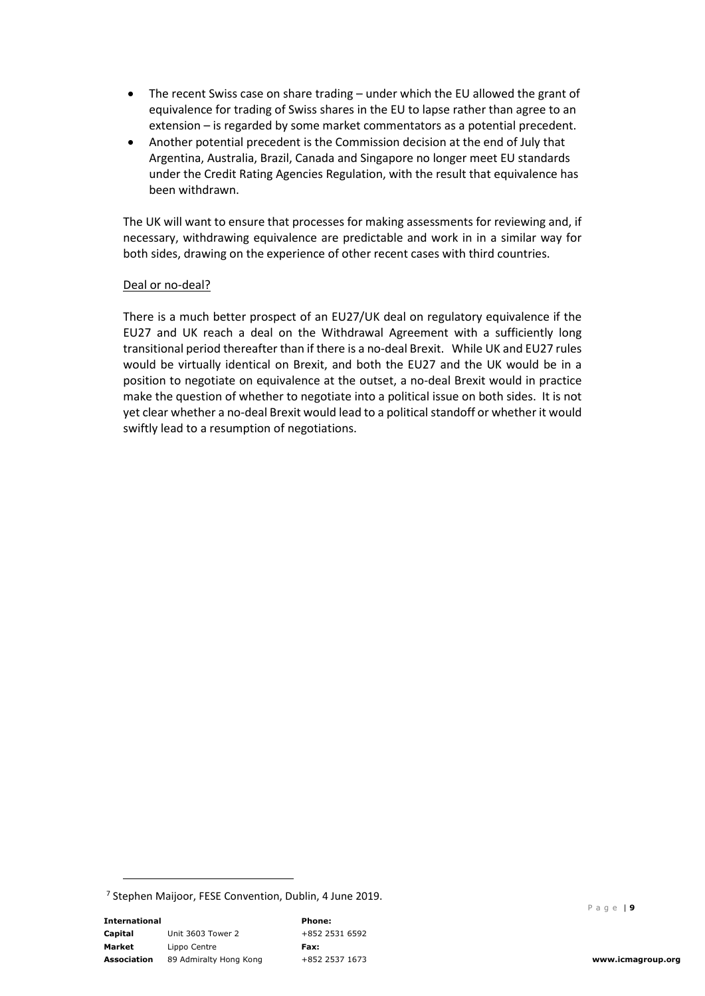- The recent Swiss case on share trading under which the EU allowed the grant of equivalence for trading of Swiss shares in the EU to lapse rather than agree to an extension – is regarded by some market commentators as a potential precedent.
- Another potential precedent is the Commission decision at the end of July that Argentina, Australia, Brazil, Canada and Singapore no longer meet EU standards under the Credit Rating Agencies Regulation, with the result that equivalence has been withdrawn.

The UK will want to ensure that processes for making assessments for reviewing and, if necessary, withdrawing equivalence are predictable and work in in a similar way for both sides, drawing on the experience of other recent cases with third countries.

# Deal or no-deal?

There is a much better prospect of an EU27/UK deal on regulatory equivalence if the EU27 and UK reach a deal on the Withdrawal Agreement with a sufficiently long transitional period thereafter than if there is a no-deal Brexit. While UK and EU27 rules would be virtually identical on Brexit, and both the EU27 and the UK would be in a position to negotiate on equivalence at the outset, a no-deal Brexit would in practice make the question of whether to negotiate into a political issue on both sides. It is not yet clear whether a no-deal Brexit would lead to a political standoff or whether it would swiftly lead to a resumption of negotiations.

 $7$  Stephen Maijoor, FESE Convention, Dublin, 4 June 2019.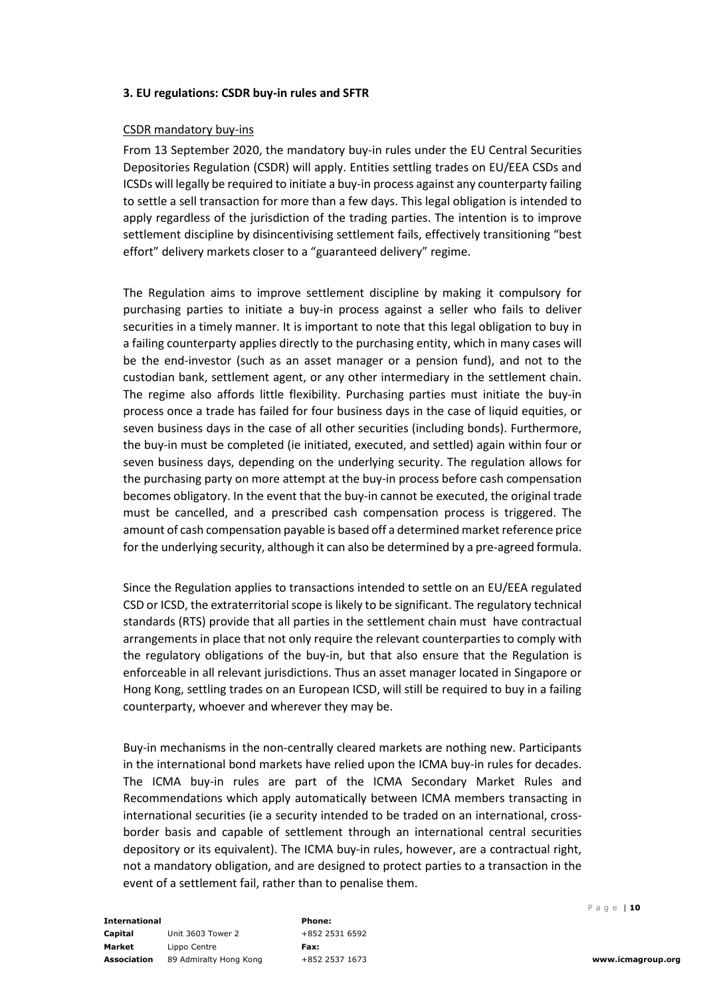### **3. EU regulations: CSDR buy-in rules and SFTR**

### CSDR mandatory buy-ins

From 13 September 2020, the mandatory buy-in rules under the EU Central Securities Depositories Regulation (CSDR) will apply. Entities settling trades on EU/EEA CSDs and ICSDs will legally be required to initiate a buy-in process against any counterparty failing to settle a sell transaction for more than a few days. This legal obligation is intended to apply regardless of the jurisdiction of the trading parties. The intention is to improve settlement discipline by disincentivising settlement fails, effectively transitioning "best effort" delivery markets closer to a "guaranteed delivery" regime.

The Regulation aims to improve settlement discipline by making it compulsory for purchasing parties to initiate a buy-in process against a seller who fails to deliver securities in a timely manner. It is important to note that this legal obligation to buy in a failing counterparty applies directly to the purchasing entity, which in many cases will be the end-investor (such as an asset manager or a pension fund), and not to the custodian bank, settlement agent, or any other intermediary in the settlement chain. The regime also affords little flexibility. Purchasing parties must initiate the buy-in process once a trade has failed for four business days in the case of liquid equities, or seven business days in the case of all other securities (including bonds). Furthermore, the buy-in must be completed (ie initiated, executed, and settled) again within four or seven business days, depending on the underlying security. The regulation allows for the purchasing party on more attempt at the buy-in process before cash compensation becomes obligatory. In the event that the buy-in cannot be executed, the original trade must be cancelled, and a prescribed cash compensation process is triggered. The amount of cash compensation payable is based off a determined market reference price for the underlying security, although it can also be determined by a pre-agreed formula.

Since the Regulation applies to transactions intended to settle on an EU/EEA regulated CSD or ICSD, the extraterritorial scope is likely to be significant. The regulatory technical standards (RTS) provide that all parties in the settlement chain must have contractual arrangements in place that not only require the relevant counterparties to comply with the regulatory obligations of the buy-in, but that also ensure that the Regulation is enforceable in all relevant jurisdictions. Thus an asset manager located in Singapore or Hong Kong, settling trades on an European ICSD, will still be required to buy in a failing counterparty, whoever and wherever they may be.

Buy-in mechanisms in the non-centrally cleared markets are nothing new. Participants in the international bond markets have relied upon the ICMA buy-in rules for decades. The ICMA buy-in rules are part of the ICMA Secondary Market Rules and Recommendations which apply automatically between ICMA members transacting in international securities (ie a security intended to be traded on an international, crossborder basis and capable of settlement through an international central securities depository or its equivalent). The ICMA buy-in rules, however, are a contractual right, not a mandatory obligation, and are designed to protect parties to a transaction in the event of a settlement fail, rather than to penalise them.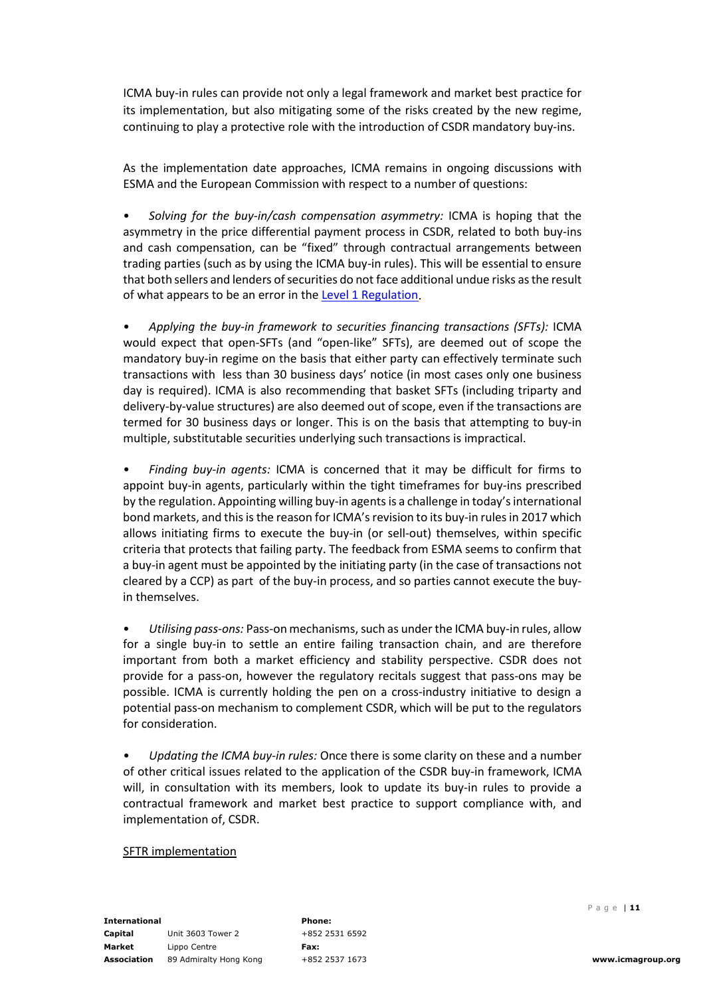ICMA buy-in rules can provide not only a legal framework and market best practice for its implementation, but also mitigating some of the risks created by the new regime, continuing to play a protective role with the introduction of CSDR mandatory buy-ins.

As the implementation date approaches, ICMA remains in ongoing discussions with ESMA and the European Commission with respect to a number of questions:

• *Solving for the buy-in/cash compensation asymmetry:* ICMA is hoping that the asymmetry in the price differential payment process in CSDR, related to both buy-ins and cash compensation, can be "fixed" through contractual arrangements between trading parties (such as by using the ICMA buy-in rules). This will be essential to ensure that both sellers and lenders of securities do not face additional undue risks as the result of what appears to be an error in th[e Level 1 Regulation.](https://eur-lex.europa.eu/legal-content/EN/TXT/PDF/?uri=CELEX:32014R0909&from=EN)

• *Applying the buy-in framework to securities financing transactions (SFTs):* ICMA would expect that open-SFTs (and "open-like" SFTs), are deemed out of scope the mandatory buy-in regime on the basis that either party can effectively terminate such transactions with less than 30 business days' notice (in most cases only one business day is required). ICMA is also recommending that basket SFTs (including triparty and delivery-by-value structures) are also deemed out of scope, even if the transactions are termed for 30 business days or longer. This is on the basis that attempting to buy-in multiple, substitutable securities underlying such transactions is impractical.

• *Finding buy-in agents:* ICMA is concerned that it may be difficult for firms to appoint buy-in agents, particularly within the tight timeframes for buy-ins prescribed by the regulation. Appointing willing buy-in agents is a challenge in today's international bond markets, and this is the reason for ICMA's revision to its buy-in rules in 2017 which allows initiating firms to execute the buy-in (or sell-out) themselves, within specific criteria that protects that failing party. The feedback from ESMA seems to confirm that a buy-in agent must be appointed by the initiating party (in the case of transactions not cleared by a CCP) as part of the buy-in process, and so parties cannot execute the buyin themselves.

• *Utilising pass-ons:* Pass-on mechanisms, such as under the ICMA buy-in rules, allow for a single buy-in to settle an entire failing transaction chain, and are therefore important from both a market efficiency and stability perspective. CSDR does not provide for a pass-on, however the regulatory recitals suggest that pass-ons may be possible. ICMA is currently holding the pen on a cross-industry initiative to design a potential pass-on mechanism to complement CSDR, which will be put to the regulators for consideration.

• *Updating the ICMA buy-in rules:* Once there is some clarity on these and a number of other critical issues related to the application of the CSDR buy-in framework, ICMA will, in consultation with its members, look to update its buy-in rules to provide a contractual framework and market best practice to support compliance with, and implementation of, CSDR.

#### SFTR implementation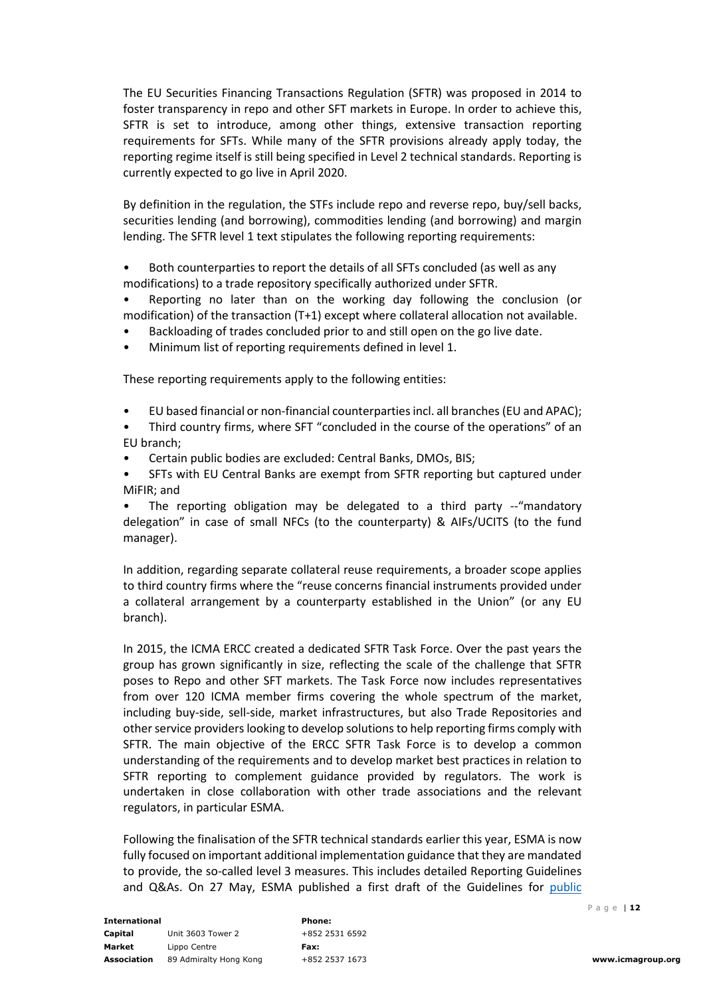The EU Securities Financing Transactions Regulation (SFTR) was proposed in 2014 to foster transparency in repo and other SFT markets in Europe. In order to achieve this, SFTR is set to introduce, among other things, extensive transaction reporting requirements for SFTs. While many of the SFTR provisions already apply today, the reporting regime itself is still being specified in Level 2 technical standards. Reporting is currently expected to go live in April 2020.

By definition in the regulation, the STFs include repo and reverse repo, buy/sell backs, securities lending (and borrowing), commodities lending (and borrowing) and margin lending. The SFTR level 1 text stipulates the following reporting requirements:

• Both counterparties to report the details of all SFTs concluded (as well as any modifications) to a trade repository specifically authorized under SFTR.

• Reporting no later than on the working day following the conclusion (or modification) of the transaction (T+1) except where collateral allocation not available.

- Backloading of trades concluded prior to and still open on the go live date.
- Minimum list of reporting requirements defined in level 1.

These reporting requirements apply to the following entities:

• EU based financial or non-financial counterparties incl. all branches (EU and APAC);

• Third country firms, where SFT "concluded in the course of the operations" of an EU branch;

- Certain public bodies are excluded: Central Banks, DMOs, BIS;
- SFTs with EU Central Banks are exempt from SFTR reporting but captured under MiFIR; and

The reporting obligation may be delegated to a third party --"mandatory delegation" in case of small NFCs (to the counterparty) & AIFs/UCITS (to the fund manager).

In addition, regarding separate collateral reuse requirements, a broader scope applies to third country firms where the "reuse concerns financial instruments provided under a collateral arrangement by a counterparty established in the Union" (or any EU branch).

In 2015, the ICMA ERCC created a dedicated SFTR Task Force. Over the past years the group has grown significantly in size, reflecting the scale of the challenge that SFTR poses to Repo and other SFT markets. The Task Force now includes representatives from over 120 ICMA member firms covering the whole spectrum of the market, including buy-side, sell-side, market infrastructures, but also Trade Repositories and other service providers looking to develop solutions to help reporting firms comply with SFTR. The main objective of the ERCC SFTR Task Force is to develop a common understanding of the requirements and to develop market best practices in relation to SFTR reporting to complement guidance provided by regulators. The work is undertaken in close collaboration with other trade associations and the relevant regulators, in particular ESMA.

Following the finalisation of the SFTR technical standards earlier this year, ESMA is now fully focused on important additional implementation guidance that they are mandated to provide, the so-called level 3 measures. This includes detailed Reporting Guidelines and Q&As. On 27 May, ESMA published a first draft of the Guidelines for [public](https://www.esma.europa.eu/press-news/consultations/consultation-guidelines-reporting-under-articles-4-and-12-sftr)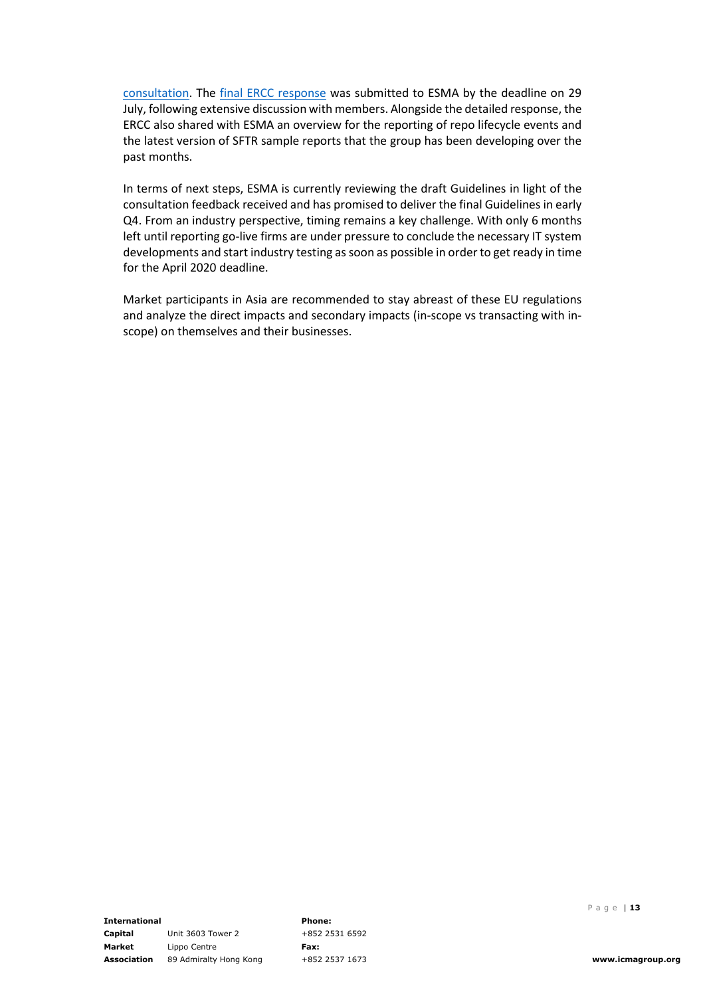[consultation.](https://www.esma.europa.eu/press-news/consultations/consultation-guidelines-reporting-under-articles-4-and-12-sftr) The [final ERCC response](https://www.icmagroup.org/News/news-in-brief/icma-ercc-responds-to-esma-s-consultation-on-sftr-reporting-guidelines/) was submitted to ESMA by the deadline on 29 July, following extensive discussion with members. Alongside the detailed response, the ERCC also shared with ESMA an overview for the reporting of repo lifecycle events and the latest version of SFTR sample reports that the group has been developing over the past months.

In terms of next steps, ESMA is currently reviewing the draft Guidelines in light of the consultation feedback received and has promised to deliver the final Guidelines in early Q4. From an industry perspective, timing remains a key challenge. With only 6 months left until reporting go-live firms are under pressure to conclude the necessary IT system developments and start industry testing as soon as possible in order to get ready in time for the April 2020 deadline.

Market participants in Asia are recommended to stay abreast of these EU regulations and analyze the direct impacts and secondary impacts (in-scope vs transacting with inscope) on themselves and their businesses.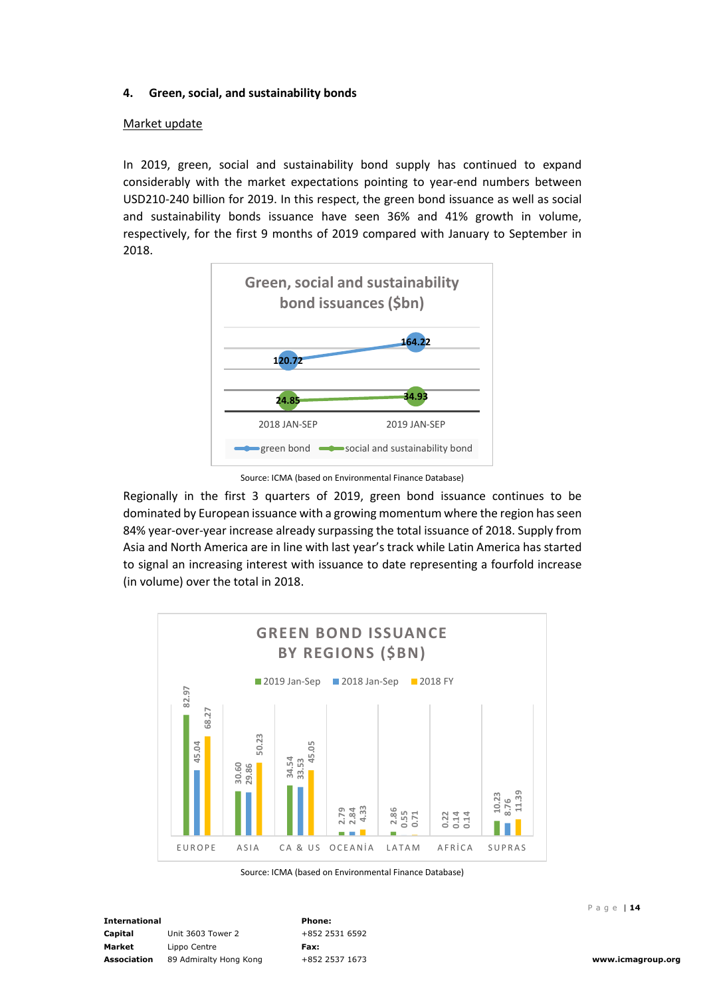## **4. Green, social, and sustainability bonds**

#### Market update

In 2019, green, social and sustainability bond supply has continued to expand considerably with the market expectations pointing to year-end numbers between USD210-240 billion for 2019. In this respect, the green bond issuance as well as social and sustainability bonds issuance have seen 36% and 41% growth in volume, respectively, for the first 9 months of 2019 compared with January to September in 2018.



Source: ICMA (based on Environmental Finance Database)

Regionally in the first 3 quarters of 2019, green bond issuance continues to be dominated by European issuance with a growing momentum where the region has seen 84% year-over-year increase already surpassing the total issuance of 2018. Supply from Asia and North America are in line with last year's track while Latin America has started to signal an increasing interest with issuance to date representing a fourfold increase (in volume) over the total in 2018.



Source: ICMA (based on Environmental Finance Database)

**International Capital Market Association** 89 Admiralty Hong Kong Unit 3603 Tower 2 Lippo Centre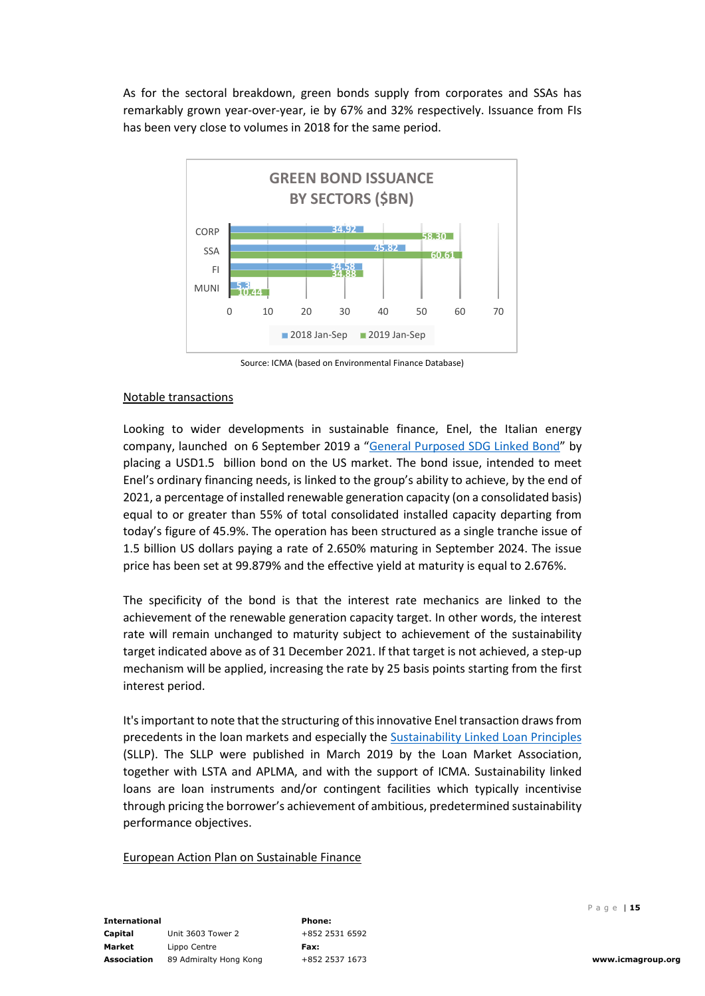As for the sectoral breakdown, green bonds supply from corporates and SSAs has remarkably grown year-over-year, ie by 67% and 32% respectively. Issuance from FIs has been very close to volumes in 2018 for the same period.



Source: ICMA (based on Environmental Finance Database)

### Notable transactions

Looking to wider developments in sustainable finance, Enel, the Italian energy company, launched on 6 September 2019 a ["General Purposed SDG Linked Bond"](https://www.enel.com/content/dam/enel-common/press/en/2019-September/SDG%20bond%20ENG%20(003).pdf) by placing a USD1.5 billion bond on the US market. The bond issue, intended to meet Enel's ordinary financing needs, is linked to the group's ability to achieve, by the end of 2021, a percentage of installed renewable generation capacity (on a consolidated basis) equal to or greater than 55% of total consolidated installed capacity departing from today's figure of 45.9%. The operation has been structured as a single tranche issue of 1.5 billion US dollars paying a rate of 2.650% maturing in September 2024. The issue price has been set at 99.879% and the effective yield at maturity is equal to 2.676%.

The specificity of the bond is that the interest rate mechanics are linked to the achievement of the renewable generation capacity target. In other words, the interest rate will remain unchanged to maturity subject to achievement of the sustainability target indicated above as of 31 December 2021. If that target is not achieved, a step-up mechanism will be applied, increasing the rate by 25 basis points starting from the first interest period.

It's important to note that the structuring of this innovative Enel transaction draws from precedents in the loan markets and especially the [Sustainability Linked Loan Principles](https://www.lma.eu.com/application/files/8015/5307/4231/LMA_Sustainability_Linked_Loan_Principles.pdf) (SLLP). The SLLP were published in March 2019 by the Loan Market Association, together with LSTA and APLMA, and with the support of ICMA. Sustainability linked loans are loan instruments and/or contingent facilities which typically incentivise through pricing the borrower's achievement of ambitious, predetermined sustainability performance objectives.

#### European Action Plan on Sustainable Finance